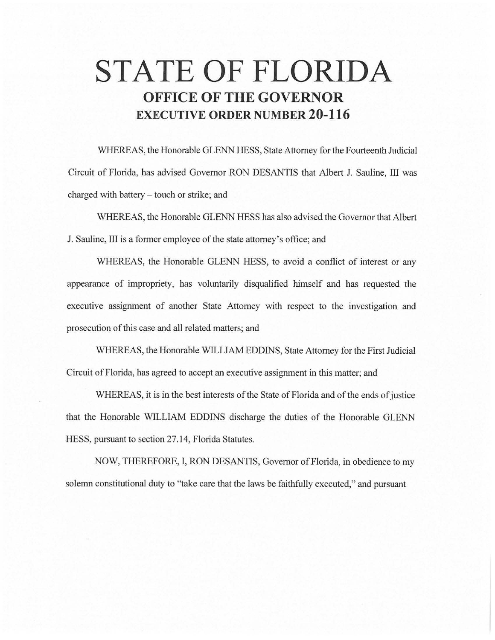## **STATE OF FLORIDA OFFICE OF THE GOVERNOR EXECUTIVE ORDER NUMBER 20-116**

WHEREAS, the Honorable GLENN HESS, State Attorney for the Fourteenth Judicial Circuit of Florida, has advised Governor RON DESANTIS that Albert J. Sauline, III was charged with battery - touch or strike; and

WHEREAS, the Honorable GLENN HESS has also advised the Governor that Albert J. Sauline, III is a former employee of the state attorney's office; and

WHEREAS, the Honorable GLENN HESS, to avoid a conflict of interest or any appearance of impropriety, has voluntarily disqualified himself and has requested the executive assignment of another State Attorney with respect to the investigation and prosecution of this case and all related matters; and

WHEREAS, the Honorable WILLIAM EDDINS, State Attorney for the First Judicial Circuit of Florida, has agreed to accept an executive assignment in this matter; and

WHEREAS, it is in the best interests of the State of Florida and of the ends of justice that the Honorable WILLIAM EDDINS discharge the duties of the Honorable GLENN HESS, pursuant to section 27.14, Florida Statutes.

NOW, THEREFORE, I, RON DESANTIS, Governor of Florida, in obedience to my solemn constitutional duty to "take care that the laws be faithfully executed," and pursuant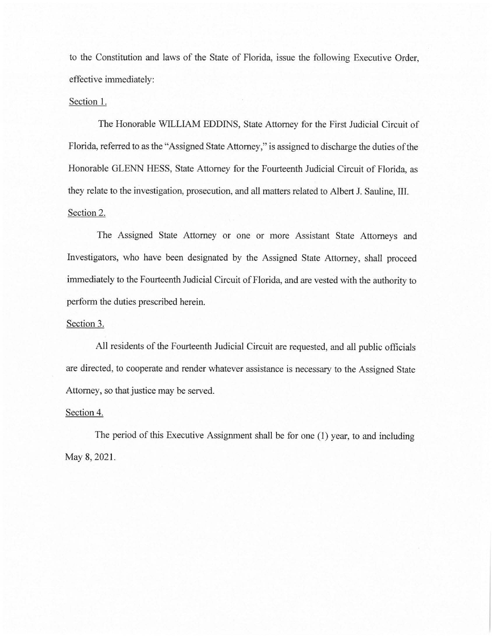to the Constitution and laws of the State of Florida, issue the following Executive Order, effective immediately:

## Section 1.

The Honorable WILLIAM EDDINS, State Attorney for the First Judicial Circuit of Florida, referred to as the "Assigned State Attorney," is assigned to discharge the duties of the Honorable GLENN HESS, State Attorney for the Fourteenth Judicial Circuit of Florida, as they relate to the investigation, prosecution, and all matters related to Albert J. Sauline, III. Section 2.

The Assigned State Attorney or one or more Assistant State Attorneys and Investigators, who have been designated by the Assigned State Attorney, shall proceed immediately to the Fourteenth Judicial Circuit of Florida, and are vested with the authority to perform the duties prescribed herein.

## Section 3.

All residents of the Fourteenth Judicial Circuit are requested, and all public officials are directed, to cooperate and render whatever assistance is necessary to the Assigned State Attorney, so that justice may be served.

## Section 4.

The period of this Executive Assignment shall be for one (1) year, to and including May 8, 2021.